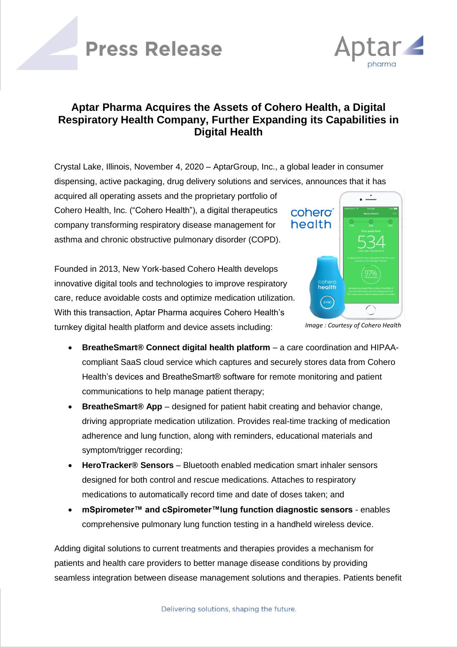# **Press Release**



### **Aptar Pharma Acquires the Assets of Cohero Health, a Digital Respiratory Health Company, Further Expanding its Capabilities in Digital Health**

Crystal Lake, Illinois, November 4, 2020 – AptarGroup, Inc., a global leader in consumer dispensing, active packaging, drug delivery solutions and services, announces that it has

acquired all operating assets and the proprietary portfolio of Cohero Health, Inc. ("Cohero Health"), a digital therapeutics company transforming respiratory disease management for asthma and chronic obstructive pulmonary disorder (COPD).

Founded in 2013, New York-based Cohero Health develops innovative digital tools and technologies to improve respiratory care, reduce avoidable costs and optimize medication utilization. With this transaction, Aptar Pharma acquires Cohero Health's turnkey digital health platform and device assets including:



*Image : Courtesy of Cohero Health*

- **BreatheSmart® Connect digital health platform** a care coordination and HIPAAcompliant SaaS cloud service which captures and securely stores data from Cohero Health's devices and BreatheSmart® software for remote monitoring and patient communications to help manage patient therapy;
- **BreatheSmart<sup>®</sup> App** designed for patient habit creating and behavior change, driving appropriate medication utilization. Provides real-time tracking of medication adherence and lung function, along with reminders, educational materials and symptom/trigger recording;
- **HeroTracker® Sensors** Bluetooth enabled medication smart inhaler sensors designed for both control and rescue medications. Attaches to respiratory medications to automatically record time and date of doses taken; and
- **mSpirometer™ and cSpirometer™lung function diagnostic sensors** enables comprehensive pulmonary lung function testing in a handheld wireless device.

Adding digital solutions to current treatments and therapies provides a mechanism for patients and health care providers to better manage disease conditions by providing seamless integration between disease management solutions and therapies. Patients benefit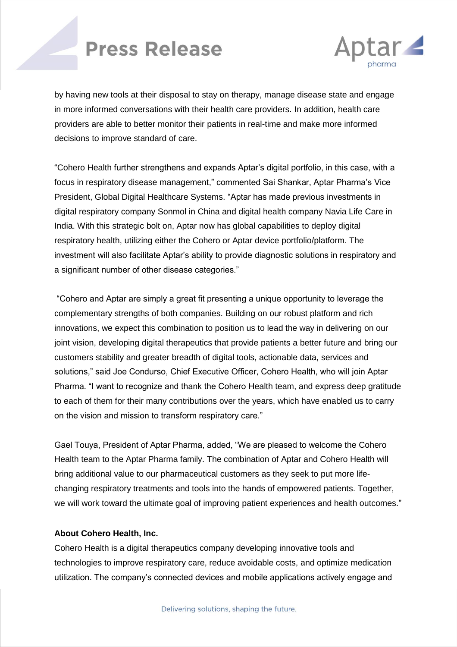### **Press Release**



by having new tools at their disposal to stay on therapy, manage disease state and engage in more informed conversations with their health care providers. In addition, health care providers are able to better monitor their patients in real-time and make more informed decisions to improve standard of care.

"Cohero Health further strengthens and expands Aptar's digital portfolio, in this case, with a focus in respiratory disease management," commented Sai Shankar, Aptar Pharma's Vice President, Global Digital Healthcare Systems. "Aptar has made previous investments in digital respiratory company Sonmol in China and digital health company Navia Life Care in India. With this strategic bolt on, Aptar now has global capabilities to deploy digital respiratory health, utilizing either the Cohero or Aptar device portfolio/platform. The investment will also facilitate Aptar's ability to provide diagnostic solutions in respiratory and a significant number of other disease categories."

"Cohero and Aptar are simply a great fit presenting a unique opportunity to leverage the complementary strengths of both companies. Building on our robust platform and rich innovations, we expect this combination to position us to lead the way in delivering on our joint vision, developing digital therapeutics that provide patients a better future and bring our customers stability and greater breadth of digital tools, actionable data, services and solutions," said Joe Condurso, Chief Executive Officer, Cohero Health, who will join Aptar Pharma. "I want to recognize and thank the Cohero Health team, and express deep gratitude to each of them for their many contributions over the years, which have enabled us to carry on the vision and mission to transform respiratory care."

Gael Touya, President of Aptar Pharma, added, "We are pleased to welcome the Cohero Health team to the Aptar Pharma family. The combination of Aptar and Cohero Health will bring additional value to our pharmaceutical customers as they seek to put more lifechanging respiratory treatments and tools into the hands of empowered patients. Together, we will work toward the ultimate goal of improving patient experiences and health outcomes."

#### **About Cohero Health, Inc.**

Cohero Health is a digital therapeutics company developing innovative tools and technologies to improve respiratory care, reduce avoidable costs, and optimize medication utilization. The company's connected devices and mobile applications actively engage and